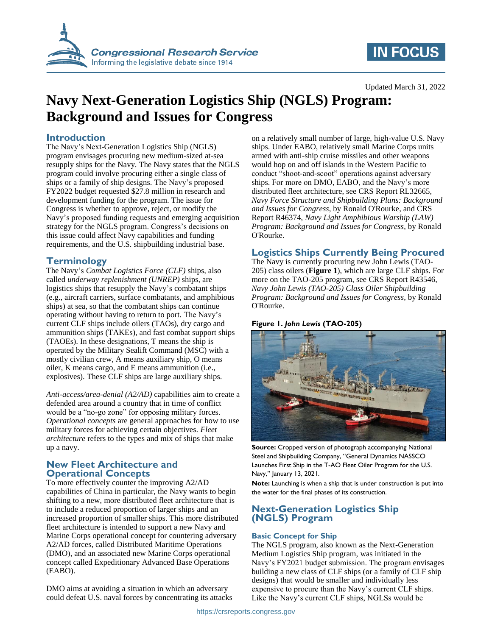

# **IN FOCUS**

#### Updated March 31, 2022

# **Navy Next-Generation Logistics Ship (NGLS) Program: Background and Issues for Congress**

# **Introduction**

The Navy's Next-Generation Logistics Ship (NGLS) program envisages procuring new medium-sized at-sea resupply ships for the Navy. The Navy states that the NGLS program could involve procuring either a single class of ships or a family of ship designs. The Navy's proposed FY2022 budget requested \$27.8 million in research and development funding for the program. The issue for Congress is whether to approve, reject, or modify the Navy's proposed funding requests and emerging acquisition strategy for the NGLS program. Congress's decisions on this issue could affect Navy capabilities and funding requirements, and the U.S. shipbuilding industrial base.

# **Terminology**

The Navy's *Combat Logistics Force (CLF)* ships, also called *underway replenishment (UNREP)* ships, are logistics ships that resupply the Navy's combatant ships (e.g., aircraft carriers, surface combatants, and amphibious ships) at sea, so that the combatant ships can continue operating without having to return to port. The Navy's current CLF ships include oilers (TAOs), dry cargo and ammunition ships (TAKEs), and fast combat support ships (TAOEs). In these designations, T means the ship is operated by the Military Sealift Command (MSC) with a mostly civilian crew, A means auxiliary ship, O means oiler, K means cargo, and E means ammunition (i.e., explosives). These CLF ships are large auxiliary ships.

*Anti-access/area-denial (A2/AD)* capabilities aim to create a defended area around a country that in time of conflict would be a "no-go zone" for opposing military forces. *Operational concepts* are general approaches for how to use military forces for achieving certain objectives. *Fleet architecture* refers to the types and mix of ships that make up a navy.

### **New Fleet Architecture and Operational Concepts**

To more effectively counter the improving A2/AD capabilities of China in particular, the Navy wants to begin shifting to a new, more distributed fleet architecture that is to include a reduced proportion of larger ships and an increased proportion of smaller ships. This more distributed fleet architecture is intended to support a new Navy and Marine Corps operational concept for countering adversary A2/AD forces, called Distributed Maritime Operations (DMO), and an associated new Marine Corps operational concept called Expeditionary Advanced Base Operations (EABO).

DMO aims at avoiding a situation in which an adversary could defeat U.S. naval forces by concentrating its attacks on a relatively small number of large, high-value U.S. Navy ships. Under EABO, relatively small Marine Corps units armed with anti-ship cruise missiles and other weapons would hop on and off islands in the Western Pacific to conduct "shoot-and-scoot" operations against adversary ships. For more on DMO, EABO, and the Navy's more distributed fleet architecture, see CRS Report RL32665, *Navy Force Structure and Shipbuilding Plans: Background and Issues for Congress*, by Ronald O'Rourke, and CRS Report R46374, *Navy Light Amphibious Warship (LAW) Program: Background and Issues for Congress*, by Ronald O'Rourke.

# **Logistics Ships Currently Being Procured**

The Navy is currently procuring new John Lewis (TAO-205) class oilers (**[Figure 1](#page-0-0)**), which are large CLF ships. For more on the TAO-205 program, see CRS Report R43546, *Navy John Lewis (TAO-205) Class Oiler Shipbuilding Program: Background and Issues for Congress*, by Ronald O'Rourke.

### <span id="page-0-0"></span>**Figure 1.** *John Lewis* **(TAO-205)**



**Source:** Cropped version of photograph accompanying National Steel and Shipbuilding Company, "General Dynamics NASSCO Launches First Ship in the T-AO Fleet Oiler Program for the U.S. Navy," January 13, 2021.

**Note:** Launching is when a ship that is under construction is put into the water for the final phases of its construction.

# **Next-Generation Logistics Ship (NGLS) Program**

#### **Basic Concept for Ship**

The NGLS program, also known as the Next-Generation Medium Logistics Ship program, was initiated in the Navy's FY2021 budget submission. The program envisages building a new class of CLF ships (or a family of CLF ship designs) that would be smaller and individually less expensive to procure than the Navy's current CLF ships. Like the Navy's current CLF ships, NGLSs would be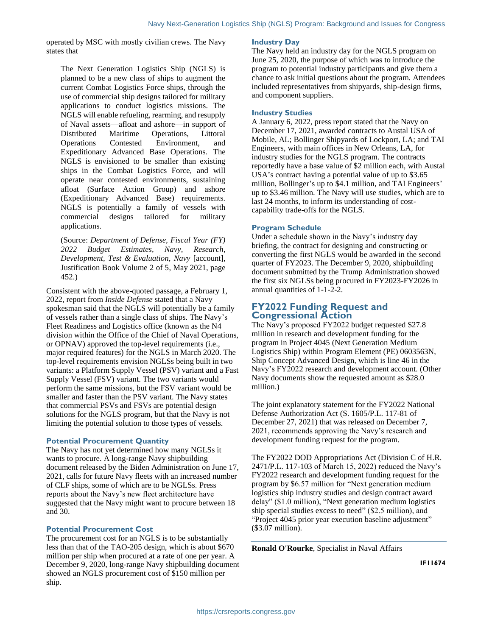operated by MSC with mostly civilian crews. The Navy states that

The Next Generation Logistics Ship (NGLS) is planned to be a new class of ships to augment the current Combat Logistics Force ships, through the use of commercial ship designs tailored for military applications to conduct logistics missions. The NGLS will enable refueling, rearming, and resupply of Naval assets—afloat and ashore—in support of Distributed Maritime Operations, Littoral Operations Contested Environment, and Expeditionary Advanced Base Operations. The NGLS is envisioned to be smaller than existing ships in the Combat Logistics Force, and will operate near contested environments, sustaining afloat (Surface Action Group) and ashore (Expeditionary Advanced Base) requirements. NGLS is potentially a family of vessels with commercial designs tailored for military applications.

(Source: *Department of Defense, Fiscal Year (FY) 2022 Budget Estimates, Navy, Research, Development, Test & Evaluation, Navy* [account], Justification Book Volume 2 of 5, May 2021, page 452.)

Consistent with the above-quoted passage, a February 1, 2022, report from *Inside Defense* stated that a Navy spokesman said that the NGLS will potentially be a family of vessels rather than a single class of ships. The Navy's Fleet Readiness and Logistics office (known as the N4 division within the Office of the Chief of Naval Operations, or OPNAV) approved the top-level requirements (i.e., major required features) for the NGLS in March 2020. The top-level requirements envision NGLSs being built in two variants: a Platform Supply Vessel (PSV) variant and a Fast Supply Vessel (FSV) variant. The two variants would perform the same missions, but the FSV variant would be smaller and faster than the PSV variant. The Navy states that commercial PSVs and FSVs are potential design solutions for the NGLS program, but that the Navy is not limiting the potential solution to those types of vessels.

#### **Potential Procurement Quantity**

The Navy has not yet determined how many NGLSs it wants to procure. A long-range Navy shipbuilding document released by the Biden Administration on June 17, 2021, calls for future Navy fleets with an increased number of CLF ships, some of which are to be NGLSs. Press reports about the Navy's new fleet architecture have suggested that the Navy might want to procure between 18 and 30.

#### **Potential Procurement Cost**

The procurement cost for an NGLS is to be substantially less than that of the TAO-205 design, which is about \$670 million per ship when procured at a rate of one per year. A December 9, 2020, long-range Navy shipbuilding document showed an NGLS procurement cost of \$150 million per ship.

#### **Industry Day**

The Navy held an industry day for the NGLS program on June 25, 2020, the purpose of which was to introduce the program to potential industry participants and give them a chance to ask initial questions about the program. Attendees included representatives from shipyards, ship-design firms, and component suppliers.

#### **Industry Studies**

A January 6, 2022, press report stated that the Navy on December 17, 2021, awarded contracts to Austal USA of Mobile, AL; Bollinger Shipyards of Lockport, LA; and TAI Engineers, with main offices in New Orleans, LA, for industry studies for the NGLS program. The contracts reportedly have a base value of \$2 million each, with Austal USA's contract having a potential value of up to \$3.65 million, Bollinger's up to \$4.1 million, and TAI Engineers' up to \$3.46 million. The Navy will use studies, which are to last 24 months, to inform its understanding of costcapability trade-offs for the NGLS.

#### **Program Schedule**

Under a schedule shown in the Navy's industry day briefing, the contract for designing and constructing or converting the first NGLS would be awarded in the second quarter of FY2023. The December 9, 2020, shipbuilding document submitted by the Trump Administration showed the first six NGLSs being procured in FY2023-FY2026 in annual quantities of 1-1-2-2.

## **FY2022 Funding Request and Congressional Action**

The Navy's proposed FY2022 budget requested \$27.8 million in research and development funding for the program in Project 4045 (Next Generation Medium Logistics Ship) within Program Element (PE) 0603563N, Ship Concept Advanced Design, which is line 46 in the Navy's FY2022 research and development account. (Other Navy documents show the requested amount as \$28.0 million.)

The joint explanatory statement for the FY2022 National Defense Authorization Act (S. 1605/P.L. 117-81 of December 27, 2021) that was released on December 7, 2021, recommends approving the Navy's research and development funding request for the program.

The FY2022 DOD Appropriations Act (Division C of H.R. 2471/P.L. 117-103 of March 15, 2022) reduced the Navy's FY2022 research and development funding request for the program by \$6.57 million for "Next generation medium logistics ship industry studies and design contract award delay" (\$1.0 million), "Next generation medium logistics ship special studies excess to need" (\$2.5 million), and "Project 4045 prior year execution baseline adjustment" (\$3.07 million).

**Ronald O'Rourke**, Specialist in Naval Affairs

**IF11674**